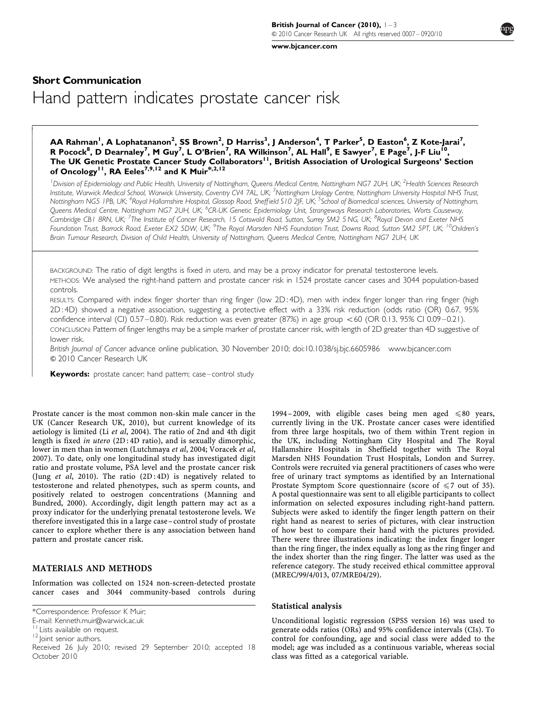[www.bjcancer.com](http://www.bjcancer.com)

# Short Communication Hand pattern indicates prostate cancer risk

## AA Rahman<sup>1</sup>, A Lophatananon<sup>2</sup>, SS Brown<sup>2</sup>, D Harriss<sup>3</sup>, J Anderson<sup>4</sup>, T Parker<sup>5</sup>, D Easton<sup>6</sup>, Z Kote-Jarai<sup>7</sup>, R Pocock<sup>8</sup>, D Dearnaley<sup>7</sup>, M Guy<sup>7</sup>, L O'Brien<sup>7</sup>, RA Wilkinson<sup>7</sup>, AL Hall<sup>9</sup>, E Sawyer<sup>7</sup>, E Page<sup>7</sup>, J-F Liu<sup>10</sup>, The UK Genetic Prostate Cancer Study Collaborators<sup>11</sup>, British Association of Urological Surgeons' Section of Oncology<sup>11</sup>, RA Eeles<sup>7,9,12</sup> and K Muir<sup>\*,2,12</sup>

<sup>1</sup> Division of Epidemiology and Public Health, University of Nottingham, Queens Medical Centre, Nottingham NG7 2UH, UK; <sup>2</sup>Health Sciences Research Institute, Warwick Medical School, Warwick University, Coventry CV4 7AL, UK; <sup>3</sup>Nottingham Urology Centre, Nottingham University Hospital NHS Trust, Nottingham NG5 IPB, UK; <sup>4</sup>Royal Hallamshire Hospital, Glossop Road, Sheffield S10 2JF, UK; <sup>5</sup>School of Biomedical sciences, University of Nottingham, Queens Medical Centre, Nottingham NG7 2UH, UK; <sup>6</sup>CR-UK Genetic Epidemiology Unit, Strangeways Research Laboratories, Worts Causeway, Cambridge CB1 8RN, UK; <sup>7</sup>The Institute of Cancer Research, 15 Cotswold Road, Sutton, Surrey SM2 5 NG, UK; <sup>8</sup>Royal Devon and Exeter NHS Foundation Trust, Barrack Road, Exeter EX2 5DW, UK; <sup>9</sup>The Royal Marsden NHS Foundation Trust, Downs Road, Sutton SM2 5PT, UK; <sup>10</sup>Children's Brain Tumour Research, Division of Child Health, University of Nottingham, Queens Medical Centre, Nottingham NG7 2UH, UK

BACKGROUND: The ratio of digit lengths is fixed in utero, and may be a proxy indicator for prenatal testosterone levels. METHODS: We analysed the right-hand pattern and prostate cancer risk in 1524 prostate cancer cases and 3044 population-based controls.

RESULTS: Compared with index finger shorter than ring finger (low 2D : 4D), men with index finger longer than ring finger (high 2D : 4D) showed a negative association, suggesting a protective effect with a 33% risk reduction (odds ratio (OR) 0.67, 95% confidence interval (Cl) 0.57 – 0.80). Risk reduction was even greater (87%) in age group <60 (OR 0.13, 95% CI 0.09 – 0.21). CONCLUSION: Pattern of finger lengths may be a simple marker of prostate cancer risk, with length of 2D greater than 4D suggestive of lower risk.

British Journal of Cancer advance online publication, 30 November 2010; doi:[10.1038/sj.bjc.6605986](http://dx.doi.org/10.1038/sj.bjc.6605986) [www.bjcancer.com](http://www.bjcancer.com)  $© 2010$  Cancer Research UK

Keywords: prostate cancer; hand pattern; case-control study

Prostate cancer is the most common non-skin male cancer in the UK ([Cancer Research UK, 2010](#page-2-0)), but current knowledge of its aetiology is limited (Li et al[, 2004\)](#page-2-0). The ratio of 2nd and 4th digit length is fixed in utero (2D : 4D ratio), and is sexually dimorphic, lower in men than in women ([Lutchmaya](#page-2-0) et al, 2004; [Voracek](#page-2-0) et al, [2007](#page-2-0)). To date, only one longitudinal study has investigated digit ratio and prostate volume, PSA level and the prostate cancer risk (Jung et al[, 2010\)](#page-2-0). The ratio (2D : 4D) is negatively related to testosterone and related phenotypes, such as sperm counts, and positively related to oestrogen concentrations [\(Manning and](#page-2-0) [Bundred, 2000\)](#page-2-0). Accordingly, digit length pattern may act as a proxy indicator for the underlying prenatal testosterone levels. We therefore investigated this in a large case – control study of prostate cancer to explore whether there is any association between hand pattern and prostate cancer risk.

### MATERIALS AND METHODS

Information was collected on 1524 non-screen-detected prostate cancer cases and 3044 community-based controls during

-- $\overline{ }$  $\overline{\phantom{a}}$  $\overline{\phantom{a}}$  $\overline{\phantom{a}}$  $\overline{\phantom{a}}$  $\overline{\phantom{a}}$  $\overline{\phantom{a}}$  $\overline{\phantom{a}}$  $\overline{\phantom{a}}$  $\overline{\phantom{a}}$  $\overline{\phantom{a}}$  $\overline{\phantom{a}}$  $\overline{\phantom{a}}$  $\overline{\phantom{a}}$  $\overline{\phantom{a}}$  $\overline{\phantom{a}}$  $\overline{\phantom{a}}$  $\overline{\phantom{a}}$  $\overline{\phantom{a}}$  $\overline{\phantom{a}}$  $\overline{\phantom{a}}$  $\overline{\phantom{a}}$  $\overline{\phantom{a}}$  $\overline{\phantom{a}}$ - $\mathsf{r}$  $\overline{\phantom{a}}$  $\overline{\phantom{a}}$  $\overline{\phantom{a}}$  $\overline{\phantom{a}}$  $\overline{\phantom{a}}$  $\overline{\phantom{a}}$  $\overline{\phantom{a}}$  $\overline{\phantom{a}}$  $\overline{\phantom{a}}$  $\overline{\phantom{a}}$  $\overline{\phantom{a}}$  $\overline{\phantom{a}}$  $\overline{\phantom{a}}$  $\overline{\phantom{a}}$  $\overline{\phantom{a}}$  $\overline{\phantom{a}}$  $\overline{\phantom{a}}$  $\overline{\phantom{a}}$  $\overline{\phantom{a}}$  $\overline{\phantom{a}}$  $\overline{\phantom{a}}$  $\overline{\phantom{a}}$  $\overline{\phantom{a}}$  $\overline{\phantom{a}}$  $\overline{\phantom{a}}$ 

1994 – 2009, with eligible cases being men aged  $\leq 80$  years, currently living in the UK. Prostate cancer cases were identified from three large hospitals, two of them within Trent region in the UK, including Nottingham City Hospital and The Royal Hallamshire Hospitals in Sheffield together with The Royal Marsden NHS Foundation Trust Hospitals, London and Surrey. Controls were recruited via general practitioners of cases who were free of urinary tract symptoms as identified by an International Prostate Symptom Score questionnaire (score of  $\leq 7$  out of 35). A postal questionnaire was sent to all eligible participants to collect information on selected exposures including right-hand pattern. Subjects were asked to identify the finger length pattern on their right hand as nearest to series of pictures, with clear instruction of how best to compare their hand with the pictures provided. There were three illustrations indicating: the index finger longer than the ring finger, the index equally as long as the ring finger and the index shorter than the ring finger. The latter was used as the reference category. The study received ethical committee approval (MREC/99/4/013, 07/MRE04/29).

### Statistical analysis

Unconditional logistic regression (SPSS version 16) was used to generate odds ratios (ORs) and 95% confidence intervals (CIs). To control for confounding, age and social class were added to the model; age was included as a continuous variable, whereas social class was fitted as a categorical variable.

<sup>\*</sup>Correspondence: Professor K Muir;

E-mail: [Kenneth.muir@warwick.ac.uk](mailto:Kenneth.muir@warwick.ac.uk)

<sup>&</sup>lt;sup>11</sup> Lists available on request.<br><sup>12</sup> Joint senior authors.

Received 26 July 2010; revised 29 September 2010; accepted 18 October 2010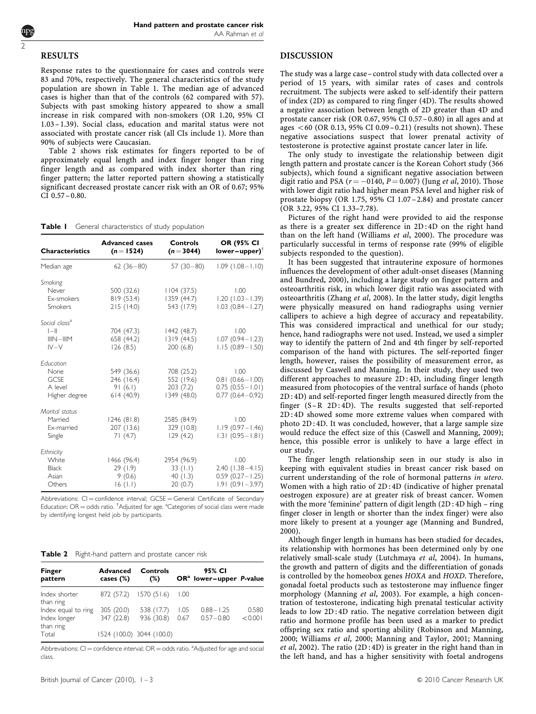#### RESULTS

2

Response rates to the questionnaire for cases and controls were 83 and 70%, respectively. The general characteristics of the study population are shown in Table 1. The median age of advanced cases is higher than that of the controls (62 compared with 57). Subjects with past smoking history appeared to show a small increase in risk compared with non-smokers (OR 1.20, 95% CI 1.03 –1.39). Social class, education and marital status were not associated with prostate cancer risk (all CIs include 1). More than 90% of subjects were Caucasian.

Table 2 shows risk estimates for fingers reported to be of approximately equal length and index finger longer than ring finger length and as compared with index shorter than ring finger pattern; the latter reported pattern showing a statistically significant decreased prostate cancer risk with an OR of 0.67; 95%  $CI$  0.57 – 0.80.

Table I General characteristics of study population

| <b>Characteristics</b>                                        | <b>Advanced cases</b><br>Controls<br>$(n=3044)$<br>$(n = 1524)$ |                                                     | <b>OR (95% CI</b><br>$lower-upper)$ <sup>†</sup>                              |  |
|---------------------------------------------------------------|-----------------------------------------------------------------|-----------------------------------------------------|-------------------------------------------------------------------------------|--|
| Median age                                                    | $62(36-80)$                                                     | $57(30-80)$                                         | $1.09$ $(1.08 - 1.10)$                                                        |  |
| Smoking<br>Never<br>Ex-smokers<br><b>Smokers</b>              | 500 (32.6)<br>819 (53.4)<br>215(14.0)                           | 1104(37.5)<br>1359 (44.7)<br>543 (17.9)             | 1.00<br>$1.20$ (1.03 - 1.39)<br>$1.03$ $(0.84 - 1.27)$                        |  |
| Social class <sup>a</sup><br>$ -  $<br>$IIIN-IIIM$<br>$IV-V$  | 704 (47.3)<br>658 (44.2)<br>126(8.5)                            | 1442 (48.7)<br>1319(44.5)<br>200(6.8)               | 1.00<br>$1.07$ (0.94 - 1.23)<br>$1.15(0.89 - 1.50)$                           |  |
| <b>F</b> ducation<br>None<br>GCSE<br>A level<br>Higher degree | 549 (36.6)<br>246 (16.4)<br>91(6.1)<br>614(40.9)                | 708 (25.2)<br>552 (19.6)<br>203(7.2)<br>1349 (48.0) | 1.00<br>$0.81(0.66 - 1.00)$<br>$0.75(0.55 - 1.01)$<br>$0.77(0.64 - 0.92)$     |  |
| Marital status<br>Married<br>Ex-married<br>Single             | 1246 (81.8)<br>207 (13.6)<br>71(4.7)                            | 2585 (84.9)<br>329(10.8)<br>129(4.2)                | 1.00<br>$1.19(0.97 - 1.46)$<br>$1.31(0.95 - 1.81)$                            |  |
| Ethnicity<br>White<br><b>Black</b><br>Asian<br>Others         | 1466 (96.4)<br>29(1.9)<br>9(0.6)<br>16(1.1)                     | 2954 (96.9)<br>33(1.1)<br>40(1.3)<br>20(0.7)        | 1.00<br>$2.40$ (1.38 - 4.15)<br>$0.59$ $(0.27 - 1.25)$<br>$1.91(0.91 - 3.97)$ |  |

Abbreviations:  $CI =$  confidence interval;  $GCSE =$  General Certificate of Secondary Education; OR = odds ratio. <sup>†</sup>Adjusted for age. <sup>a</sup>Categories of social class were made by identifying longest held job by participants.

Table 2 Right-hand pattern and prostate cancer risk

| <b>Finger</b><br>pattern   | <b>Advanced</b><br>cases $(\%)$ | Controls<br>(%)           |      | 95% CI<br>$ORa$ lower-upper P-value |         |
|----------------------------|---------------------------------|---------------------------|------|-------------------------------------|---------|
| Index shorter<br>than ring | 872 (57.2)                      | 1570 (51.6)               | 1.00 |                                     |         |
| Index equal to ring        | 305 (20.0)                      | 538 (17.7)                | 1.05 | $0.88 - 1.25$                       | 0.580   |
| Index longer<br>than ring  | 347 (22.8)                      | 936 (30.8)                | 0.67 | $0.57 - 0.80$                       | < 0.001 |
| Total                      |                                 | 1524 (100.0) 3044 (100.0) |      |                                     |         |

Abbreviations:  $CI =$  confidence interval;  $OR =$  odds ratio.  $^a$ Adjusted for age and social class.

## DISCUSSION

The study was a large case – control study with data collected over a period of 15 years, with similar rates of cases and controls recruitment. The subjects were asked to self-identify their pattern of index (2D) as compared to ring finger (4D). The results showed a negative association between length of 2D greater than 4D and prostate cancer risk (OR 0.67, 95% CI 0.57 –0.80) in all ages and at ages  $<$  60 (OR 0.13, 95% CI 0.09 – 0.21) (results not shown). These negative associations suspect that lower prenatal activity of testosterone is protective against prostate cancer later in life.

The only study to investigate the relationship between digit length pattern and prostate cancer is the Korean Cohort study (366 subjects), which found a significant negative association between digit ratio and PSA ( $r = -0140$ ,  $P = 0.007$ ) (Jung *et al*[, 2010](#page-2-0)). Those with lower digit ratio had higher mean PSA level and higher risk of prostate biopsy (OR 1.75, 95% CI 1.07 –2.84) and prostate cancer (OR 3.22, 95% CI 1.33–7.78).

Pictures of the right hand were provided to aid the response as there is a greater sex difference in 2D : 4D on the right hand than on the left hand ([Williams](#page-2-0) et al, 2000). The procedure was particularly successful in terms of response rate (99% of eligible subjects responded to the question).

It has been suggested that intrauterine exposure of hormones influences the development of other adult-onset diseases ([Manning](#page-2-0) [and Bundred, 2000](#page-2-0)), including a large study on finger pattern and osteoarthritis risk, in which lower digit ratio was associated with osteoarthritis [\(Zhang](#page-2-0) et al, 2008). In the latter study, digit lengths were physically measured on hand radiographs using vernier callipers to achieve a high degree of accuracy and repeatability. This was considered impractical and unethical for our study; hence, hand radiographs were not used. Instead, we used a simpler way to identify the pattern of 2nd and 4th finger by self-reported comparison of the hand with pictures. The self-reported finger length, however, raises the possibility of measurement error, as discussed by Caswell and Manning. In their study, they used two different approaches to measure 2D : 4D, including finger length measured from photocopies of the ventral surface of hands (photo 2D : 4D) and self-reported finger length measured directly from the finger  $(S - R 2D : 4D)$ . The results suggested that self-reported 2D : 4D showed some more extreme values when compared with photo 2D : 4D. It was concluded, however, that a large sample size would reduce the effect size of this [\(Caswell and Manning, 2009\)](#page-2-0); hence, this possible error is unlikely to have a large effect in our study.

The finger length relationship seen in our study is also in keeping with equivalent studies in breast cancer risk based on current understanding of the role of hormonal patterns in utero. Women with a high ratio of 2D : 4D (indicative of higher prenatal oestrogen exposure) are at greater risk of breast cancer. Women with the more 'feminine' pattern of digit length (2D : 4D high – ring finger closer in length or shorter than the index finger) were also more likely to present at a younger age ([Manning and Bundred,](#page-2-0) [2000\)](#page-2-0).

Although finger length in humans has been studied for decades, its relationship with hormones has been determined only by one relatively small-scale study ([Lutchmaya](#page-2-0) et al, 2004). In humans, the growth and pattern of digits and the differentiation of gonads is controlled by the homeobox genes HOXA and HOXD. Therefore, gonadal foetal products such as testosterone may influence finger morphology ([Manning](#page-2-0) et al, 2003). For example, a high concentration of testosterone, indicating high prenatal testicular activity leads to low 2D : 4D ratio. The negative correlation between digit ratio and hormone profile has been used as a marker to predict offspring sex ratio and sporting ability [\(Robinson and Manning,](#page-2-0) [2000; Williams](#page-2-0) et al, 2000; [Manning and Taylor, 2001](#page-2-0); [Manning](#page-2-0) et al[, 2002](#page-2-0)). The ratio  $(2D:4D)$  is greater in the right hand than in the left hand, and has a higher sensitivity with foetal androgens